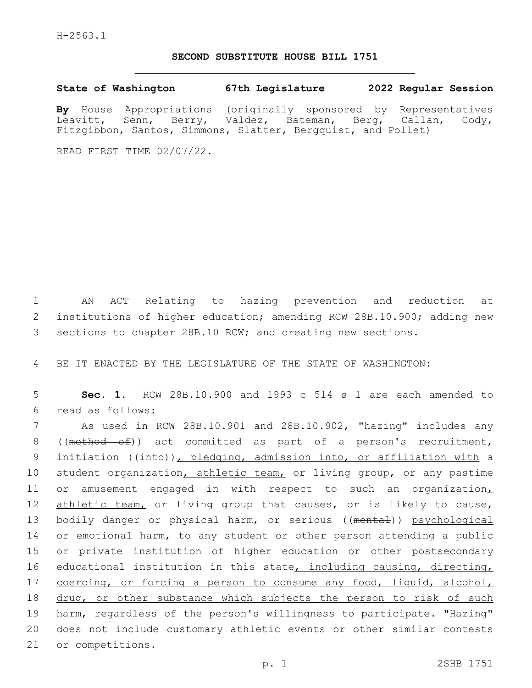## **SECOND SUBSTITUTE HOUSE BILL 1751**

**State of Washington 67th Legislature 2022 Regular Session**

**By** House Appropriations (originally sponsored by Representatives Leavitt, Senn, Berry, Valdez, Bateman, Berg, Callan, Cody, Fitzgibbon, Santos, Simmons, Slatter, Bergquist, and Pollet)

READ FIRST TIME 02/07/22.

1 AN ACT Relating to hazing prevention and reduction at 2 institutions of higher education; amending RCW 28B.10.900; adding new 3 sections to chapter 28B.10 RCW; and creating new sections.

4 BE IT ENACTED BY THE LEGISLATURE OF THE STATE OF WASHINGTON:

5 **Sec. 1.** RCW 28B.10.900 and 1993 c 514 s 1 are each amended to read as follows:6

7 As used in RCW 28B.10.901 and 28B.10.902, "hazing" includes any 8 ((method of)) act committed as part of a person's recruitment, 9 initiation (( $\frac{1}{1}$ ), pledging, admission into, or affiliation with a 10 student organization, athletic team, or living group, or any pastime 11 or amusement engaged in with respect to such an organization, 12 athletic team, or living group that causes, or is likely to cause, 13 bodily danger or physical harm, or serious ((mental)) psychological 14 or emotional harm, to any student or other person attending a public 15 or private institution of higher education or other postsecondary 16 educational institution in this state, including causing, directing, 17 coercing, or forcing a person to consume any food, liquid, alcohol, 18 drug, or other substance which subjects the person to risk of such 19 harm, regardless of the person's willingness to participate. "Hazing" 20 does not include customary athletic events or other similar contests 21 or competitions.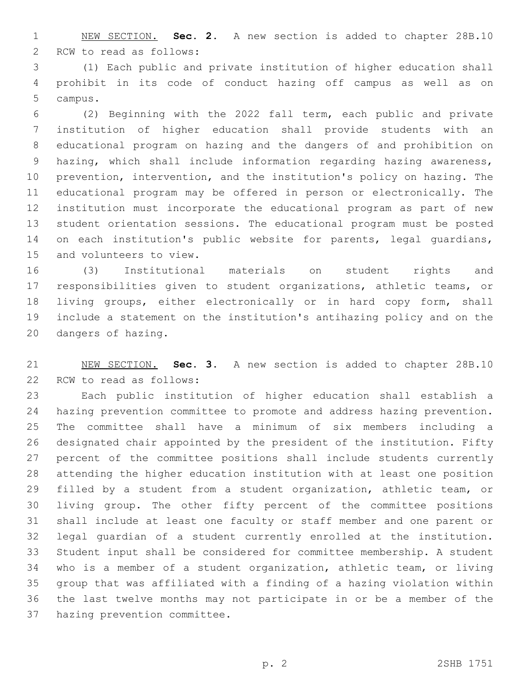NEW SECTION. **Sec. 2.** A new section is added to chapter 28B.10 2 RCW to read as follows:

 (1) Each public and private institution of higher education shall prohibit in its code of conduct hazing off campus as well as on 5 campus.

 (2) Beginning with the 2022 fall term, each public and private institution of higher education shall provide students with an educational program on hazing and the dangers of and prohibition on hazing, which shall include information regarding hazing awareness, prevention, intervention, and the institution's policy on hazing. The educational program may be offered in person or electronically. The institution must incorporate the educational program as part of new student orientation sessions. The educational program must be posted 14 on each institution's public website for parents, legal quardians, 15 and volunteers to view.

 (3) Institutional materials on student rights and responsibilities given to student organizations, athletic teams, or living groups, either electronically or in hard copy form, shall include a statement on the institution's antihazing policy and on the 20 dangers of hazing.

 NEW SECTION. **Sec. 3.** A new section is added to chapter 28B.10 22 RCW to read as follows:

 Each public institution of higher education shall establish a hazing prevention committee to promote and address hazing prevention. The committee shall have a minimum of six members including a designated chair appointed by the president of the institution. Fifty percent of the committee positions shall include students currently attending the higher education institution with at least one position filled by a student from a student organization, athletic team, or living group. The other fifty percent of the committee positions shall include at least one faculty or staff member and one parent or legal guardian of a student currently enrolled at the institution. Student input shall be considered for committee membership. A student who is a member of a student organization, athletic team, or living group that was affiliated with a finding of a hazing violation within the last twelve months may not participate in or be a member of the 37 hazing prevention committee.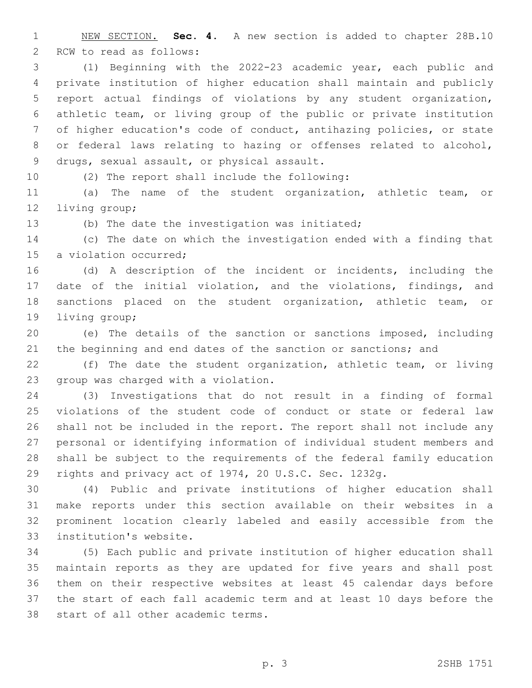NEW SECTION. **Sec. 4.** A new section is added to chapter 28B.10 2 RCW to read as follows:

 (1) Beginning with the 2022-23 academic year, each public and private institution of higher education shall maintain and publicly report actual findings of violations by any student organization, athletic team, or living group of the public or private institution of higher education's code of conduct, antihazing policies, or state or federal laws relating to hazing or offenses related to alcohol, 9 drugs, sexual assault, or physical assault.

10 (2) The report shall include the following:

 (a) The name of the student organization, athletic team, or 12 living group;

13 (b) The date the investigation was initiated;

 (c) The date on which the investigation ended with a finding that 15 a violation occurred;

 (d) A description of the incident or incidents, including the date of the initial violation, and the violations, findings, and sanctions placed on the student organization, athletic team, or 19 living group;

 (e) The details of the sanction or sanctions imposed, including the beginning and end dates of the sanction or sanctions; and

 (f) The date the student organization, athletic team, or living 23 group was charged with a violation.

 (3) Investigations that do not result in a finding of formal violations of the student code of conduct or state or federal law shall not be included in the report. The report shall not include any personal or identifying information of individual student members and shall be subject to the requirements of the federal family education rights and privacy act of 1974, 20 U.S.C. Sec. 1232g.

 (4) Public and private institutions of higher education shall make reports under this section available on their websites in a prominent location clearly labeled and easily accessible from the 33 institution's website.

 (5) Each public and private institution of higher education shall maintain reports as they are updated for five years and shall post them on their respective websites at least 45 calendar days before the start of each fall academic term and at least 10 days before the 38 start of all other academic terms.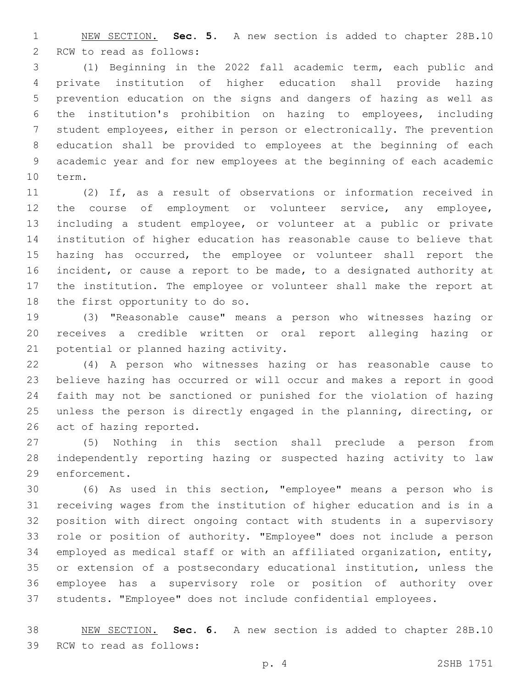NEW SECTION. **Sec. 5.** A new section is added to chapter 28B.10 2 RCW to read as follows:

 (1) Beginning in the 2022 fall academic term, each public and private institution of higher education shall provide hazing prevention education on the signs and dangers of hazing as well as the institution's prohibition on hazing to employees, including student employees, either in person or electronically. The prevention education shall be provided to employees at the beginning of each academic year and for new employees at the beginning of each academic 10 term.

 (2) If, as a result of observations or information received in 12 the course of employment or volunteer service, any employee, including a student employee, or volunteer at a public or private institution of higher education has reasonable cause to believe that hazing has occurred, the employee or volunteer shall report the incident, or cause a report to be made, to a designated authority at the institution. The employee or volunteer shall make the report at 18 the first opportunity to do so.

 (3) "Reasonable cause" means a person who witnesses hazing or receives a credible written or oral report alleging hazing or 21 potential or planned hazing activity.

 (4) A person who witnesses hazing or has reasonable cause to believe hazing has occurred or will occur and makes a report in good faith may not be sanctioned or punished for the violation of hazing unless the person is directly engaged in the planning, directing, or 26 act of hazing reported.

 (5) Nothing in this section shall preclude a person from independently reporting hazing or suspected hazing activity to law 29 enforcement.

 (6) As used in this section, "employee" means a person who is receiving wages from the institution of higher education and is in a position with direct ongoing contact with students in a supervisory role or position of authority. "Employee" does not include a person employed as medical staff or with an affiliated organization, entity, or extension of a postsecondary educational institution, unless the employee has a supervisory role or position of authority over students. "Employee" does not include confidential employees.

 NEW SECTION. **Sec. 6.** A new section is added to chapter 28B.10 39 RCW to read as follows: